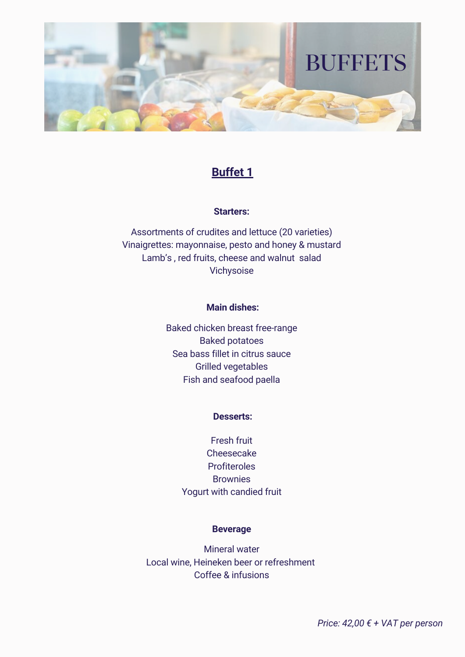

# **Buffet 1**

## **Starters:**

Assortments of crudites and lettuce (20 varieties) Vinaigrettes: mayonnaise, pesto and honey & mustard Lamb's , red fruits, cheese and walnut salad Vichysoise

### **Main dishes:**

Baked chicken breast free-range Baked potatoes Sea bass fillet in citrus sauce Grilled vegetables Fish and seafood paella

#### **Desserts:**

Fresh fruit Cheesecake **Profiteroles Brownies** Yogurt with candied fruit

#### **Beverage**

Mineral water Local wine, Heineken beer or refreshment Coffee & infusions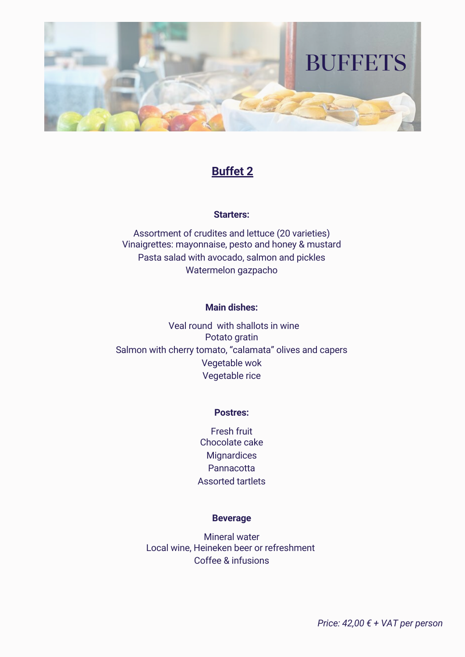

# **Buffet 2**

## **Starters:**

Assortment of crudites and lettuce (20 varieties) Vinaigrettes: mayonnaise, pesto and honey & mustard Pasta salad with avocado, salmon and pickles Watermelon gazpacho

### **Main dishes:**

Veal round with shallots in wine Potato gratin Salmon with cherry tomato, "calamata" olives and capers Vegetable wok Vegetable rice

### **Postres:**

Fresh fruit Chocolate cake **Mignardices Pannacotta** Assorted tartlets

### **Beverage**

Mineral water Local wine, Heineken beer or refreshment Coffee & infusions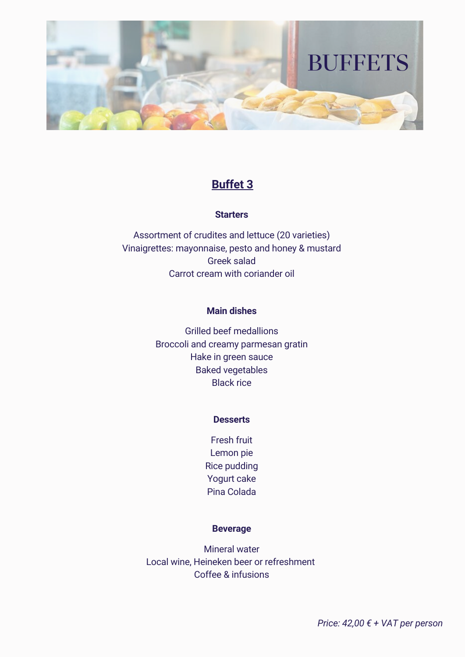

## **Buffet 3**

### **Starters**

Assortment of crudites and lettuce (20 varieties) Vinaigrettes: mayonnaise, pesto and honey & mustard Greek salad Carrot cream with coriander oil

### **Main dishes**

Grilled beef medallions Broccoli and creamy parmesan gratin Hake in green sauce Baked vegetables Black rice

#### **Desserts**

Fresh fruit Lemon pie Rice pudding Yogurt cake Pina Colada

### **Beverage**

Mineral water Local wine, Heineken beer or refreshment Coffee & infusions